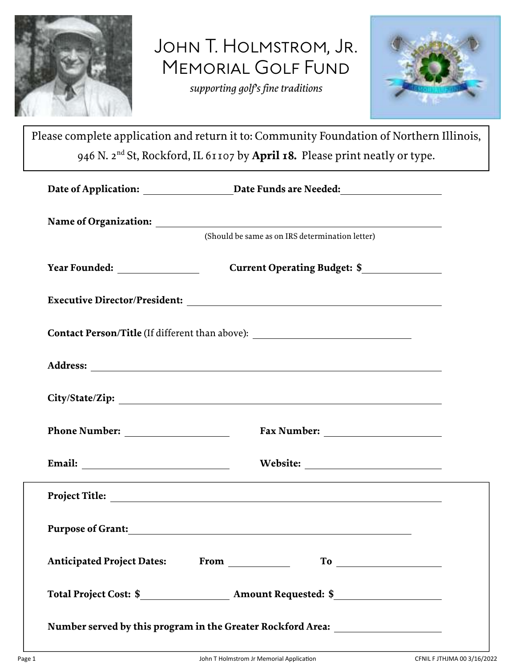

JOHN T. HOLMSTROM, JR. MEMORIAL GOLF FUND

*supporting golf's fine traditions* 



Please complete application and return it to: Community Foundation of Northern Illinois, 946 N. 2nd St, Rockford, IL 61107 by **April 18.** Please print neatly or type.

|                                                                                  | (Should be same as on IRS determination letter)                                                                                                                                                                                                                                                                                                                                                                                                                 |
|----------------------------------------------------------------------------------|-----------------------------------------------------------------------------------------------------------------------------------------------------------------------------------------------------------------------------------------------------------------------------------------------------------------------------------------------------------------------------------------------------------------------------------------------------------------|
|                                                                                  | Current Operating Budget: \$________________                                                                                                                                                                                                                                                                                                                                                                                                                    |
|                                                                                  |                                                                                                                                                                                                                                                                                                                                                                                                                                                                 |
| Contact Person/Title (If different than above): ________________________________ |                                                                                                                                                                                                                                                                                                                                                                                                                                                                 |
|                                                                                  |                                                                                                                                                                                                                                                                                                                                                                                                                                                                 |
|                                                                                  |                                                                                                                                                                                                                                                                                                                                                                                                                                                                 |
|                                                                                  |                                                                                                                                                                                                                                                                                                                                                                                                                                                                 |
|                                                                                  |                                                                                                                                                                                                                                                                                                                                                                                                                                                                 |
|                                                                                  | ,我们也不会有什么。""我们的人,我们也不会有什么?""我们的人,我们也不会有什么?""我们的人,我们也不会有什么?""我们的人,我们也不会有什么?""我们的人                                                                                                                                                                                                                                                                                                                                                                                |
|                                                                                  | Purpose of Grant: North Contract of Grants and Security and Security and Security and Security and Security and Security and Security and Security and Security and Security and Security and Security and Security and Securi                                                                                                                                                                                                                                  |
|                                                                                  | $\begin{tabular}{c} T_0 & \begin{tabular}{@{}c@{}} \hline \multicolumn{3}{@{\hspace{1em}}l} \multicolumn{3}{@{\hspace{1em}}l} \multicolumn{3}{@{\hspace{1em}}l} \multicolumn{3}{@{\hspace{1em}}l} \multicolumn{3}{@{\hspace{1em}}l} \multicolumn{3}{@{\hspace{1em}}l} \multicolumn{3}{@{\hspace{1em}}l} \multicolumn{3}{@{\hspace{1em}}l} \multicolumn{3}{@{\hspace{1em}}l} \multicolumn{3}{@{\hspace{1em}}l} \multicolumn{3}{@{\hspace{1em}}l} \multicolumn{3$ |
|                                                                                  |                                                                                                                                                                                                                                                                                                                                                                                                                                                                 |
| Number served by this program in the Greater Rockford Area: ____________________ |                                                                                                                                                                                                                                                                                                                                                                                                                                                                 |